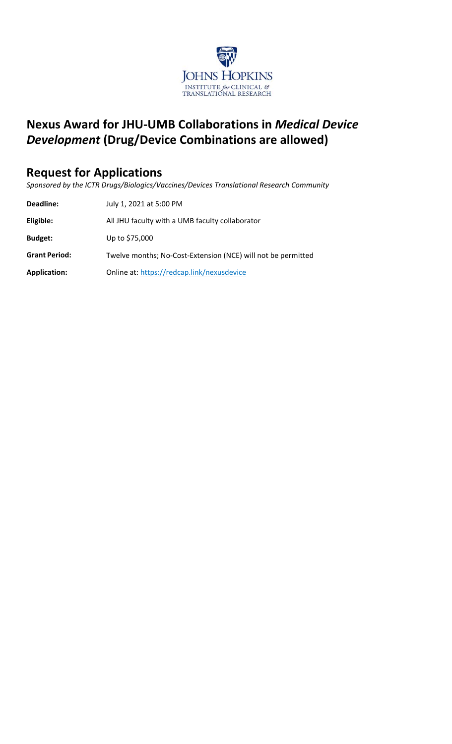

# **Nexus Award for JHU‐UMB Collaborations in** *Medical Device Development* **(Drug/Device Combinations are allowed)**

# **Request for Applications**

*Sponsored by the ICTR Drugs/Biologics/Vaccines/Devices Translational Research Community* 

| Deadline:            | July 1, 2021 at 5:00 PM                                      |
|----------------------|--------------------------------------------------------------|
| Eligible:            | All JHU faculty with a UMB faculty collaborator              |
| <b>Budget:</b>       | Up to \$75,000                                               |
| <b>Grant Period:</b> | Twelve months; No-Cost-Extension (NCE) will not be permitted |
| <b>Application:</b>  | Online at: https://redcap.link/nexusdevice                   |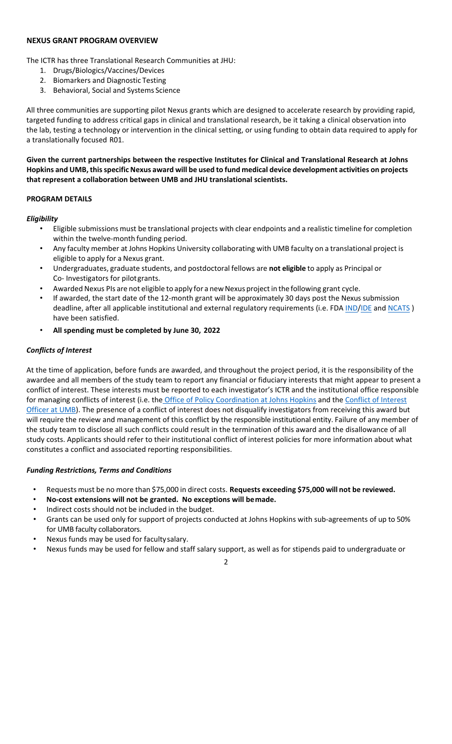### **NEXUS GRANT PROGRAM OVERVIEW**

The ICTR has three Translational Research Communities at JHU:

- 1. Drugs/Biologics/Vaccines/Devices
- 2. Biomarkers and Diagnostic Testing
- 3. Behavioral, Social and Systems Science

All three communities are supporting pilot Nexus grants which are designed to accelerate research by providing rapid, targeted funding to address critical gaps in clinical and translational research, be it taking a clinical observation into the lab, testing a technology or intervention in the clinical setting, or using funding to obtain data required to apply for a translationally focused R01.

**Given the current partnerships between the respective Institutes for Clinical and Translational Research at Johns Hopkins and UMB, this specific Nexus award will be used to fund medical device development activities on projects that represent a collaboration between UMB and JHU translational scientists.** 

#### **PROGRAM DETAILS**

### *Eligibility*

- Eligible submissions must be translational projects with clear endpoints and a realistic timeline for completion within the twelve-month funding period.
- Any faculty member at Johns Hopkins University collaborating with UMB faculty on a translational project is eligible to apply for a Nexus grant.
- Undergraduates, graduate students, and postdoctoral fellows are **not eligible** to apply as Principal or Co‐ Investigators for pilot grants.
- Awarded Nexus PIs are not eligible to apply for a new Nexus project in the following grant cycle.
- If awarded, the start date of the 12‐month grant will be approximately 30 days post the Nexus submission deadline, after all applicable institutional and external regulatory requirements (i.e. FDA IND/IDE and NCATS) have been satisfied.
- **All spending must be completed by June 30, 2022**

### *Conflicts of Interest*

At the time of application, before funds are awarded, and throughout the project period, it is the responsibility of the awardee and all members of the study team to report any financial or fiduciary interests that might appear to present a conflict of interest. These interests must be reported to each investigator's ICTR and the institutional office responsible for managing conflicts of interest (i.e. the Office of Policy Coordination at Johns Hopkins and the Conflict of Interest Officer at UMB). The presence of a conflict of interest does not disqualify investigators from receiving this award but will require the review and management of this conflict by the responsible institutional entity. Failure of any member of the study team to disclose all such conflicts could result in the termination of this award and the disallowance of all study costs. Applicants should refer to their institutional conflict of interest policies for more information about what constitutes a conflict and associated reporting responsibilities.

#### *Funding Restrictions, Terms and Conditions*

- Requests must be no more than \$75,000 in direct costs. **Requests exceeding \$75,000 will not be reviewed.**
- **No‐cost extensions will not be granted. No exceptions will be made.**
- Indirect costs should not be included in the budget.
- Grants can be used only for support of projects conducted at Johns Hopkins with sub‐agreements of up to 50% for UMB faculty collaborators.
- Nexus funds may be used for faculty salary.
- Nexus funds may be used for fellow and staff salary support, as well as for stipends paid to undergraduate or

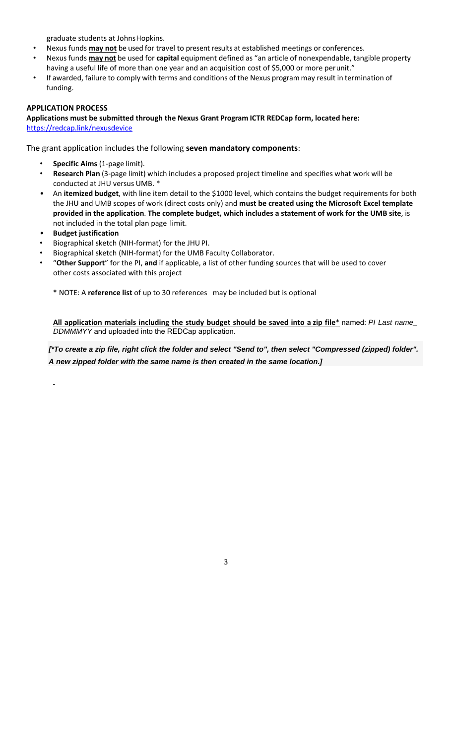graduate students at Johns Hopkins.

- Nexus funds **may not** be used for travel to present results at established meetings or conferences.
- Nexus funds **may not** be used for **capital** equipment defined as "an article of nonexpendable, tangible property having a useful life of more than one year and an acquisition cost of \$5,000 or more perunit."
- If awarded, failure to comply with terms and conditions of the Nexus program may result in termination of funding.

#### **APPLICATION PROCESS**

**Applications must be submitted through the Nexus Grant Program ICTR REDCap form, located here:** https://redcap.link/nexusdevice

The grant application includes the following **seven mandatory components**:

- **Specific Aims** (1‐page limit).
- **Research Plan** (3‐page limit) which includes a proposed project timeline and specifies what work will be conducted at JHU versus UMB. \*
- An **itemized budget**, with line item detail to the \$1000 level, which contains the budget requirements for both the JHU and UMB scopes of work (direct costs only) and **must be created using the Microsoft Excel template provided in the application**. **The complete budget, which includes a statement of work for the UMB site**, is not included in the total plan page limit.
- **Budget justification**
- Biographical sketch (NIH‐format) for the JHU PI.
- Biographical sketch (NIH‐format) for the UMB Faculty Collaborator.
- "**Other Support**" for the PI, **and** if applicable, a list of other funding sources that will be used to cover other costs associated with this project

\* NOTE: A **reference list** of up to 30 references may be included but is optional

**All application materials including the study budget should be saved into a zip file**\* named: *PI Last name\_ DDMMMYY* and uploaded into the REDCap application.

*[\*To create a zip file, right click the folder and select "Send to", then select "Compressed (zipped) folder".* *A new zipped folder with the same name is then created in the same location.]*

3